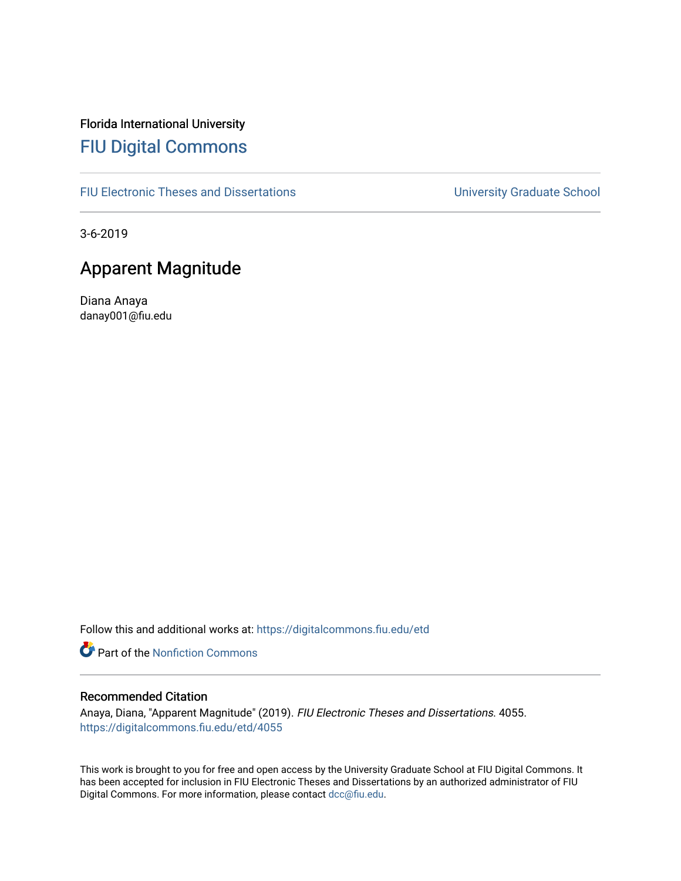# Florida International University [FIU Digital Commons](https://digitalcommons.fiu.edu/)

[FIU Electronic Theses and Dissertations](https://digitalcommons.fiu.edu/etd) **EXECUTE:** University Graduate School

3-6-2019

# Apparent Magnitude

Diana Anaya danay001@fiu.edu

Follow this and additional works at: [https://digitalcommons.fiu.edu/etd](https://digitalcommons.fiu.edu/etd?utm_source=digitalcommons.fiu.edu%2Fetd%2F4055&utm_medium=PDF&utm_campaign=PDFCoverPages)

**Part of the Nonfiction Commons** 

### Recommended Citation

Anaya, Diana, "Apparent Magnitude" (2019). FIU Electronic Theses and Dissertations. 4055. [https://digitalcommons.fiu.edu/etd/4055](https://digitalcommons.fiu.edu/etd/4055?utm_source=digitalcommons.fiu.edu%2Fetd%2F4055&utm_medium=PDF&utm_campaign=PDFCoverPages) 

This work is brought to you for free and open access by the University Graduate School at FIU Digital Commons. It has been accepted for inclusion in FIU Electronic Theses and Dissertations by an authorized administrator of FIU Digital Commons. For more information, please contact [dcc@fiu.edu](mailto:dcc@fiu.edu).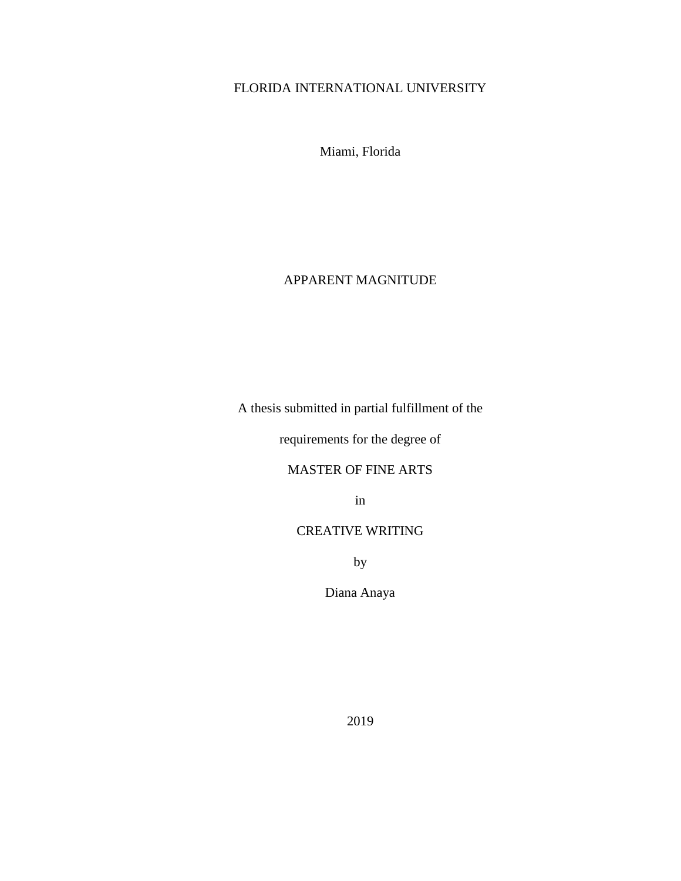## FLORIDA INTERNATIONAL UNIVERSITY

Miami, Florida

### APPARENT MAGNITUDE

A thesis submitted in partial fulfillment of the

requirements for the degree of

### MASTER OF FINE ARTS

in

### CREATIVE WRITING

by

Diana Anaya

2019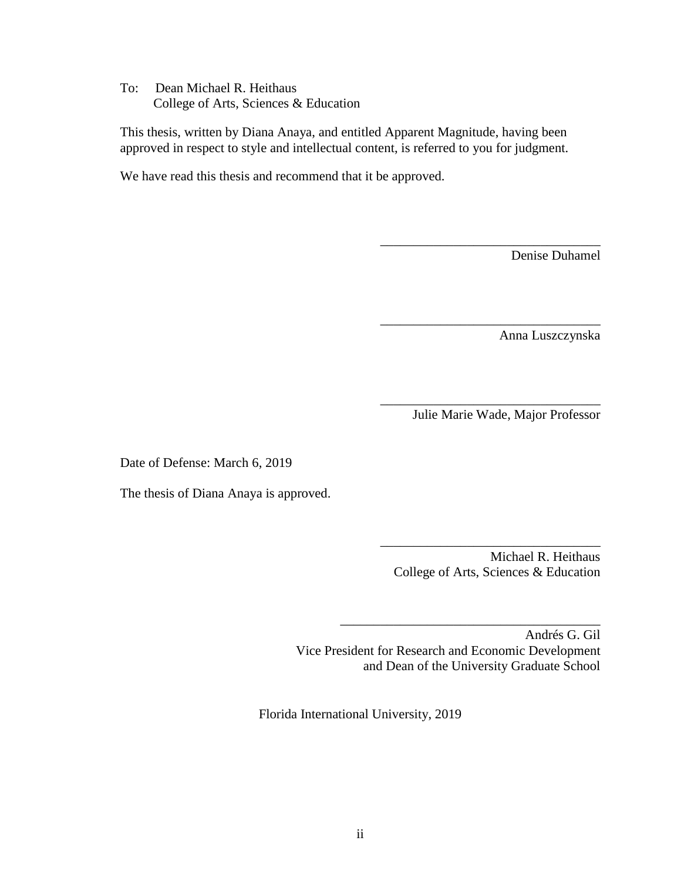To: Dean Michael R. Heithaus College of Arts, Sciences & Education

This thesis, written by Diana Anaya, and entitled Apparent Magnitude, having been approved in respect to style and intellectual content, is referred to you for judgment.

We have read this thesis and recommend that it be approved.

Denise Duhamel

Anna Luszczynska

Julie Marie Wade, Major Professor

\_\_\_\_\_\_\_\_\_\_\_\_\_\_\_\_\_\_\_\_\_\_\_\_\_\_\_\_\_\_\_\_\_

\_\_\_\_\_\_\_\_\_\_\_\_\_\_\_\_\_\_\_\_\_\_\_\_\_\_\_\_\_\_\_\_\_

\_\_\_\_\_\_\_\_\_\_\_\_\_\_\_\_\_\_\_\_\_\_\_\_\_\_\_\_\_\_\_\_\_

Date of Defense: March 6, 2019

The thesis of Diana Anaya is approved.

Michael R. Heithaus College of Arts, Sciences & Education

\_\_\_\_\_\_\_\_\_\_\_\_\_\_\_\_\_\_\_\_\_\_\_\_\_\_\_\_\_\_\_\_\_

Andrés G. Gil Vice President for Research and Economic Development and Dean of the University Graduate School

\_\_\_\_\_\_\_\_\_\_\_\_\_\_\_\_\_\_\_\_\_\_\_\_\_\_\_\_\_\_\_\_\_\_\_\_\_\_\_

Florida International University, 2019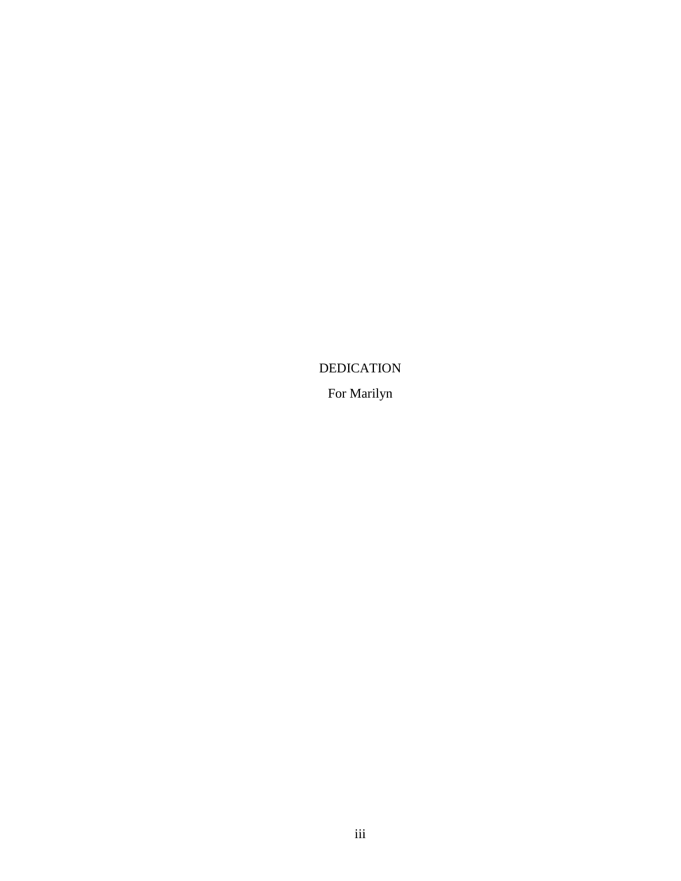DEDICATION

For Marilyn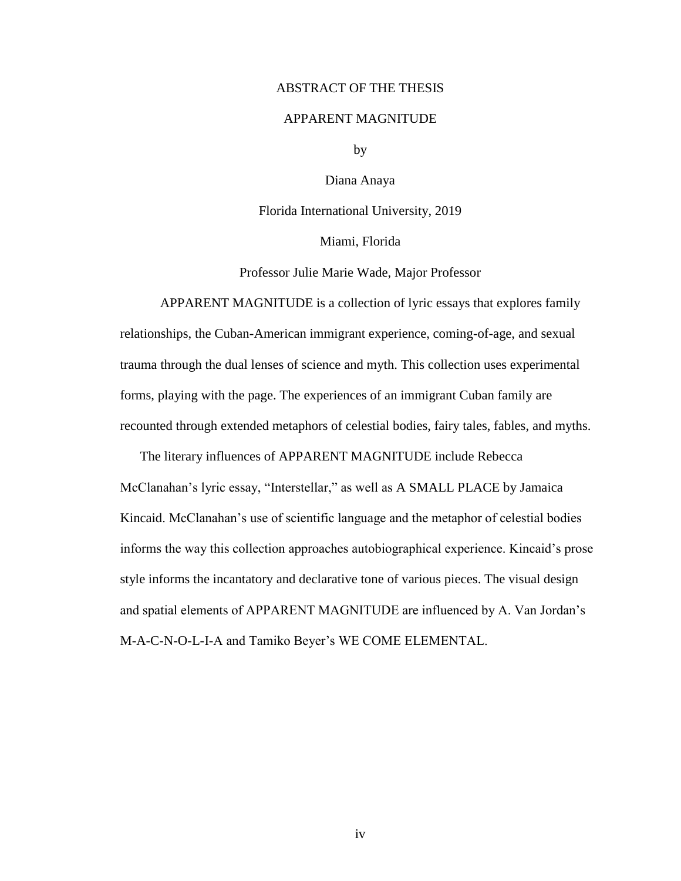#### ABSTRACT OF THE THESIS

### APPARENT MAGNITUDE

by

Diana Anaya

Florida International University, 2019

Miami, Florida

Professor Julie Marie Wade, Major Professor

APPARENT MAGNITUDE is a collection of lyric essays that explores family relationships, the Cuban-American immigrant experience, coming-of-age, and sexual trauma through the dual lenses of science and myth. This collection uses experimental forms, playing with the page. The experiences of an immigrant Cuban family are recounted through extended metaphors of celestial bodies, fairy tales, fables, and myths.

The literary influences of APPARENT MAGNITUDE include Rebecca

McClanahan's lyric essay, "Interstellar," as well as A SMALL PLACE by Jamaica Kincaid. McClanahan's use of scientific language and the metaphor of celestial bodies informs the way this collection approaches autobiographical experience. Kincaid's prose style informs the incantatory and declarative tone of various pieces. The visual design and spatial elements of APPARENT MAGNITUDE are influenced by A. Van Jordan's M-A-C-N-O-L-I-A and Tamiko Beyer's WE COME ELEMENTAL.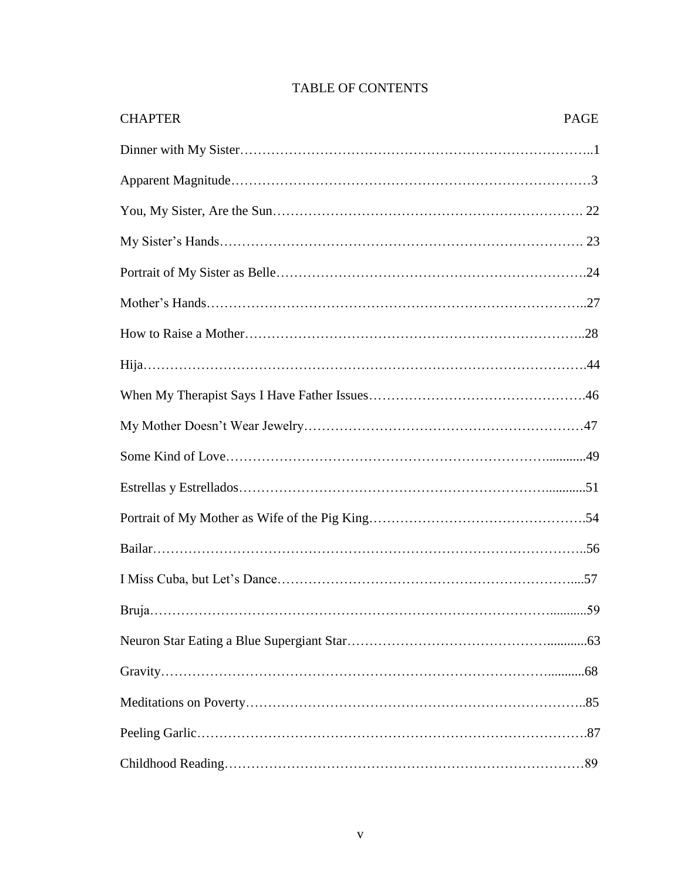| <b>CHAPTER</b> | <b>PAGE</b> |
|----------------|-------------|
|                |             |
|                |             |
|                |             |
|                |             |
|                |             |
|                |             |
|                |             |
|                |             |
|                |             |
|                |             |
|                |             |
|                |             |
|                |             |
|                |             |
|                |             |
|                |             |
|                |             |
|                |             |
|                |             |
|                |             |
|                |             |

## TABLE OF CONTENTS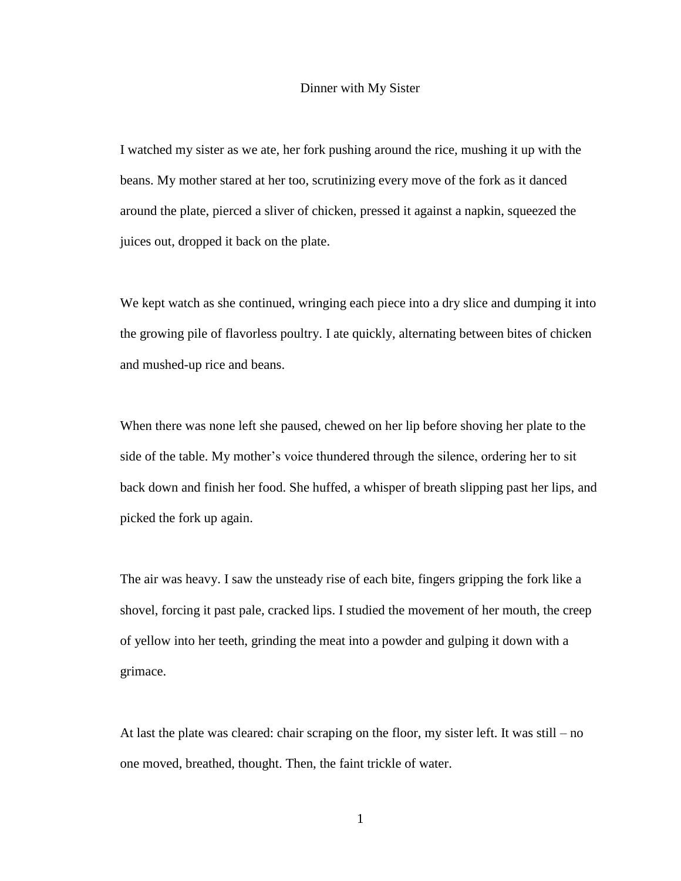#### Dinner with My Sister

I watched my sister as we ate, her fork pushing around the rice, mushing it up with the beans. My mother stared at her too, scrutinizing every move of the fork as it danced around the plate, pierced a sliver of chicken, pressed it against a napkin, squeezed the juices out, dropped it back on the plate.

We kept watch as she continued, wringing each piece into a dry slice and dumping it into the growing pile of flavorless poultry. I ate quickly, alternating between bites of chicken and mushed-up rice and beans.

When there was none left she paused, chewed on her lip before shoving her plate to the side of the table. My mother's voice thundered through the silence, ordering her to sit back down and finish her food. She huffed, a whisper of breath slipping past her lips, and picked the fork up again.

The air was heavy. I saw the unsteady rise of each bite, fingers gripping the fork like a shovel, forcing it past pale, cracked lips. I studied the movement of her mouth, the creep of yellow into her teeth, grinding the meat into a powder and gulping it down with a grimace.

At last the plate was cleared: chair scraping on the floor, my sister left. It was still – no one moved, breathed, thought. Then, the faint trickle of water.

1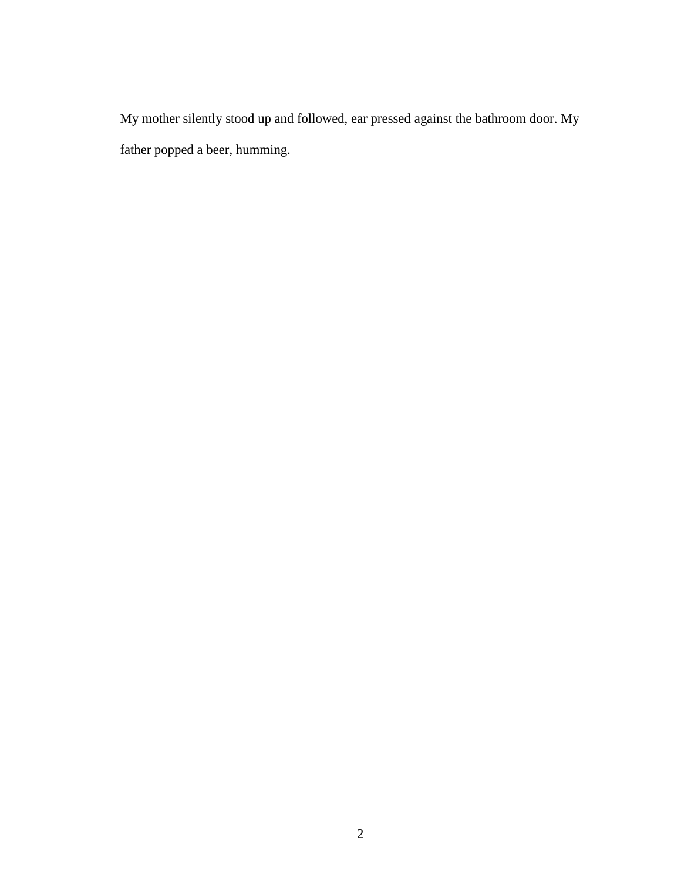My mother silently stood up and followed, ear pressed against the bathroom door. My father popped a beer, humming.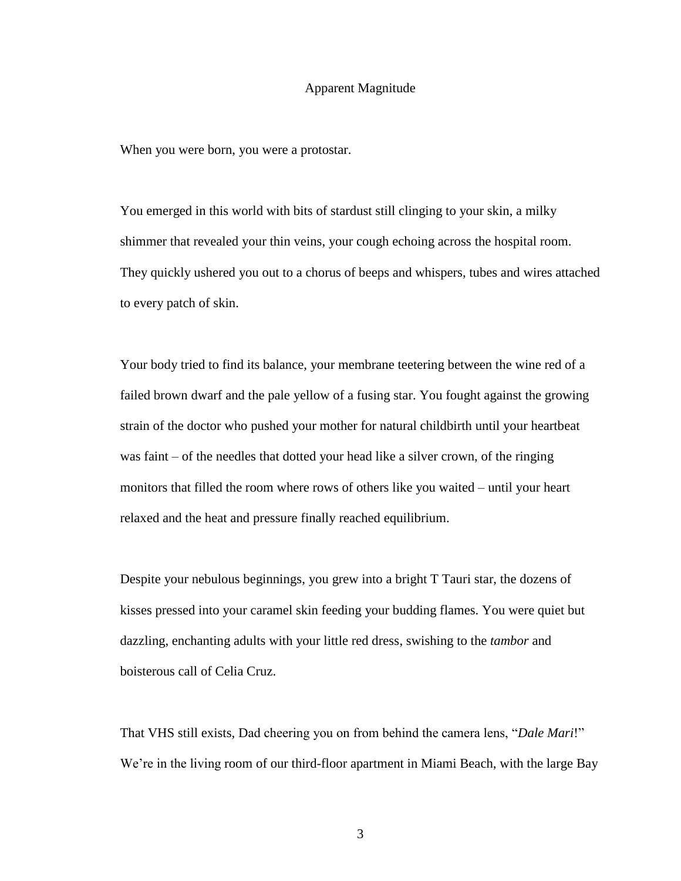#### Apparent Magnitude

When you were born, you were a protostar.

You emerged in this world with bits of stardust still clinging to your skin, a milky shimmer that revealed your thin veins, your cough echoing across the hospital room. They quickly ushered you out to a chorus of beeps and whispers, tubes and wires attached to every patch of skin.

Your body tried to find its balance, your membrane teetering between the wine red of a failed brown dwarf and the pale yellow of a fusing star. You fought against the growing strain of the doctor who pushed your mother for natural childbirth until your heartbeat was faint – of the needles that dotted your head like a silver crown, of the ringing monitors that filled the room where rows of others like you waited – until your heart relaxed and the heat and pressure finally reached equilibrium.

Despite your nebulous beginnings, you grew into a bright T Tauri star, the dozens of kisses pressed into your caramel skin feeding your budding flames. You were quiet but dazzling, enchanting adults with your little red dress, swishing to the *tambor* and boisterous call of Celia Cruz.

That VHS still exists, Dad cheering you on from behind the camera lens, "*Dale Mari*!" We're in the living room of our third-floor apartment in Miami Beach, with the large Bay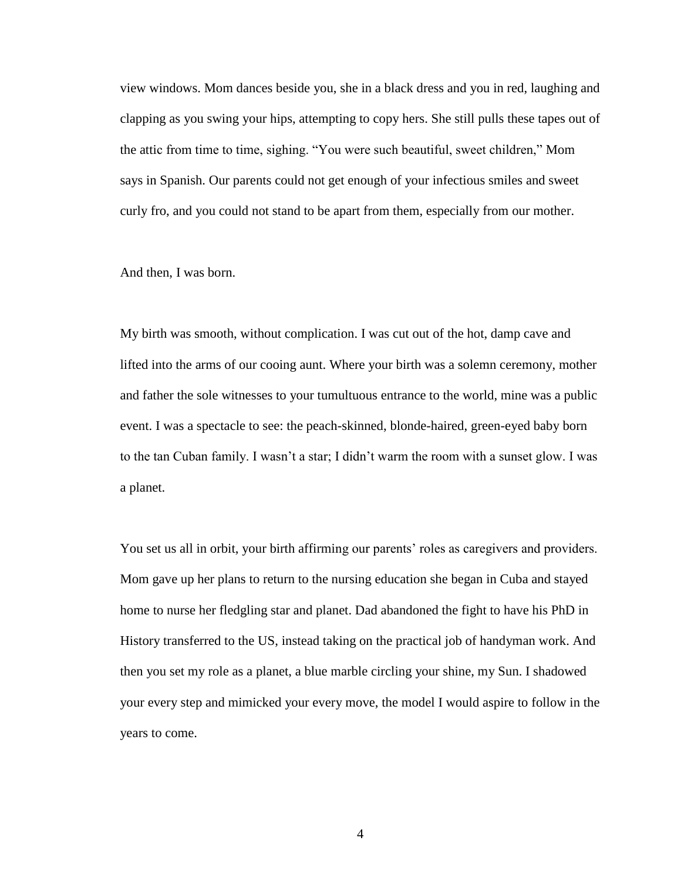view windows. Mom dances beside you, she in a black dress and you in red, laughing and clapping as you swing your hips, attempting to copy hers. She still pulls these tapes out of the attic from time to time, sighing. "You were such beautiful, sweet children," Mom says in Spanish. Our parents could not get enough of your infectious smiles and sweet curly fro, and you could not stand to be apart from them, especially from our mother.

And then, I was born.

My birth was smooth, without complication. I was cut out of the hot, damp cave and lifted into the arms of our cooing aunt. Where your birth was a solemn ceremony, mother and father the sole witnesses to your tumultuous entrance to the world, mine was a public event. I was a spectacle to see: the peach-skinned, blonde-haired, green-eyed baby born to the tan Cuban family. I wasn't a star; I didn't warm the room with a sunset glow. I was a planet.

You set us all in orbit, your birth affirming our parents' roles as caregivers and providers. Mom gave up her plans to return to the nursing education she began in Cuba and stayed home to nurse her fledgling star and planet. Dad abandoned the fight to have his PhD in History transferred to the US, instead taking on the practical job of handyman work. And then you set my role as a planet, a blue marble circling your shine, my Sun. I shadowed your every step and mimicked your every move, the model I would aspire to follow in the years to come.